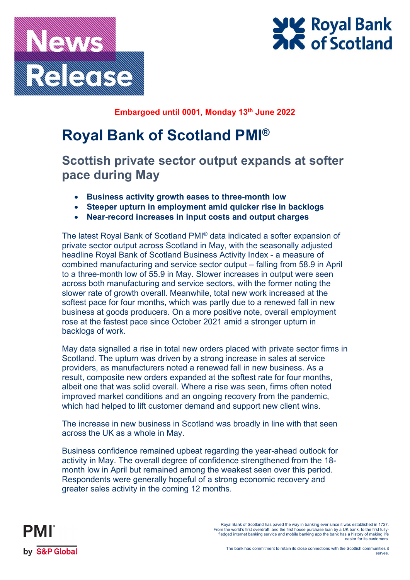



**Embargoed until 0001, Monday 13th June 2022**

# **Royal Bank of Scotland PMI®**

**Scottish private sector output expands at softer pace during May**

- **Business activity growth eases to three-month low**
- **Steeper upturn in employment amid quicker rise in backlogs**
- **Near-record increases in input costs and output charges**

The latest Royal Bank of Scotland PMI® data indicated a softer expansion of private sector output across Scotland in May, with the seasonally adjusted headline Royal Bank of Scotland Business Activity Index - a measure of combined manufacturing and service sector output – falling from 58.9 in April to a three-month low of 55.9 in May. Slower increases in output were seen across both manufacturing and service sectors, with the former noting the slower rate of growth overall. Meanwhile, total new work increased at the softest pace for four months, which was partly due to a renewed fall in new business at goods producers. On a more positive note, overall employment rose at the fastest pace since October 2021 amid a stronger upturn in backlogs of work.

May data signalled a rise in total new orders placed with private sector firms in Scotland. The upturn was driven by a strong increase in sales at service providers, as manufacturers noted a renewed fall in new business. As a result, composite new orders expanded at the softest rate for four months, albeit one that was solid overall. Where a rise was seen, firms often noted improved market conditions and an ongoing recovery from the pandemic, which had helped to lift customer demand and support new client wins.

The increase in new business in Scotland was broadly in line with that seen across the UK as a whole in May.

Business confidence remained upbeat regarding the year-ahead outlook for activity in May. The overall degree of confidence strengthened from the 18 month low in April but remained among the weakest seen over this period. Respondents were generally hopeful of a strong economic recovery and greater sales activity in the coming 12 months.



<sup>.</sup> Royal Bank of Scotland has paved the way in banking ever since it was established in 1727<br>From the world's first overdraff, and the first house purchase loan by a UK bank, to the first fully-<br>fledged internet banking ser easier for its customers.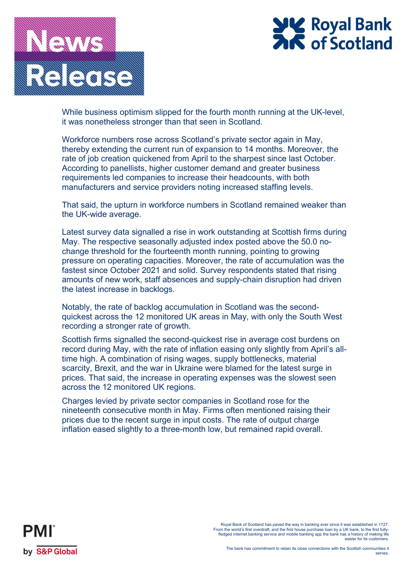

# 

While business optimism slipped for the fourth month running at the UK-level, it was nonetheless stronger than that seen in Scotland.

Workforce numbers rose across Scotland's private sector again in May, thereby extending the current run of expansion to 14 months. Moreover, the rate of job creation quickened from April to the sharpest since last October. According to panellists, higher customer demand and greater business requirements led companies to increase their headcounts, with both manufacturers and service providers noting increased staffing levels.

That said, the upturn in workforce numbers in Scotland remained weaker than the UK-wide average.

Latest survey data signalled a rise in work outstanding at Scottish firms during May. The respective seasonally adjusted index posted above the 50.0 nochange threshold for the fourteenth month running, pointing to growing pressure on operating capacities. Moreover, the rate of accumulation was the fastest since October 2021 and solid. Survey respondents stated that rising amounts of new work, staff absences and supply-chain disruption had driven the latest increase in backlogs.

Notably, the rate of backlog accumulation in Scotland was the secondquickest across the 12 monitored UK areas in May, with only the South West recording a stronger rate of growth.

Scottish firms signalled the second-quickest rise in average cost burdens on record during May, with the rate of inflation easing only slightly from April's alltime high. A combination of rising wages, supply bottlenecks, material scarcity, Brexit, and the war in Ukraine were blamed for the latest surge in prices. That said, the increase in operating expenses was the slowest seen across the 12 monitored UK regions.

Charges levied by private sector companies in Scotland rose for the nineteenth consecutive month in May. Firms often mentioned raising their prices due to the recent surge in input costs. The rate of output charge inflation eased slightly to a three-month low, but remained rapid overall.



<sup>.</sup> Royal Bank of Scotland has paved the way in banking ever since it was established in 1727<br>From the world's first overdraff, and the first house purchase loan by a UK bank, to the first fully-<br>fledged internet banking ser easier for its customers.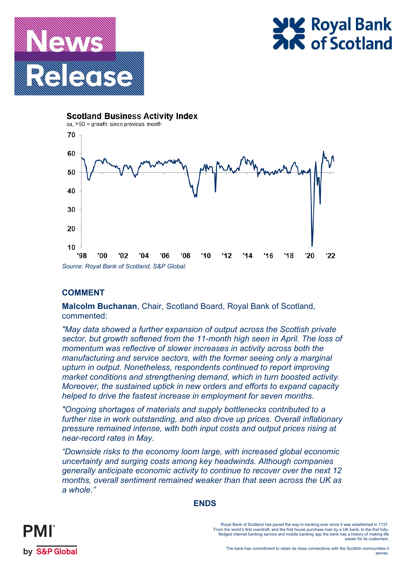



**Scotland Business Activity Index** 



## **COMMENT**

**Malcolm Buchanan**, Chair, Scotland Board, Royal Bank of Scotland, commented:

*"May data showed a further expansion of output across the Scottish private sector, but growth softened from the 11-month high seen in April. The loss of momentum was reflective of slower increases in activity across both the manufacturing and service sectors, with the former seeing only a marginal upturn in output. Nonetheless, respondents continued to report improving market conditions and strengthening demand, which in turn boosted activity. Moreover, the sustained uptick in new orders and efforts to expand capacity helped to drive the fastest increase in employment for seven months.*

*"Ongoing shortages of materials and supply bottlenecks contributed to a further rise in work outstanding, and also drove up prices. Overall inflationary pressure remained intense, with both input costs and output prices rising at near-record rates in May.* 

*"Downside risks to the economy loom large, with increased global economic uncertainty and surging costs among key headwinds. Although companies generally anticipate economic activity to continue to recover over the next 12 months, overall sentiment remained weaker than that seen across the UK as a whole."* 





Royal Bank of Scotland has paved the way in banking ever since it was established in 1727. From the world's first overdraft, and the first house purchase loan by a UK bank, to the first fullyfledged internet banking service and mobile banking app the bank has a history of making life easier for its customers.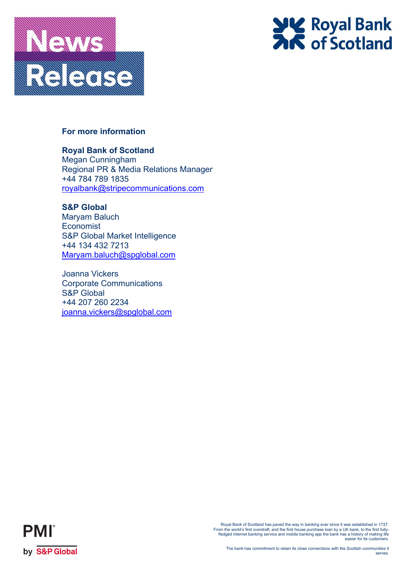



# **For more information**

# **Royal Bank of Scotland**

Megan Cunningham Regional PR & Media Relations Manager +44 784 789 1835 [royalbank@stripecommunications.com](mailto:royalbank@stripecommunications.com)

**S&P Global** Maryam Baluch **Economist** S&P Global Market Intelligence +44 134 432 7213 [Maryam.baluch@spglobal.com](mailto:Maryam.baluch@spglobal.com)

Joanna Vickers Corporate Communications S&P Global +44 207 260 2234 [joanna.vickers@spglobal.com](mailto:joanna.vickers@spglobal.com)



Royal Bank of Scotland has paved the way in banking ever since it was established in 1727.<br>From the world's first overdraft, and the first house purchase loan by a UK bank, to the first fully-<br>fledged internet banking serv